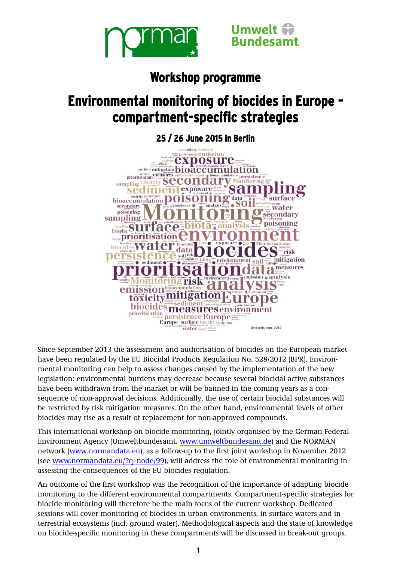



## **Workshop programme**

# **Environmental monitoring of biocides in Europe compartment-specific strategies**



Since September 2013 the assessment and authorisation of biocides on the European market have been regulated by the EU Biocidal Products Regulation No. 528/2012 (BPR). Environmental monitoring can help to assess changes caused by the implementation of the new legislation: environmental burdens may decrease because several biocidal active substances have been withdrawn from the market or will be banned in the coming years as a consequence of non-approval decisions. Additionally, the use of certain biocidal substances will be restricted by risk mitigation measures. On the other hand, environmental levels of other biocides may rise as a result of replacement for non-approved compounds.

This international workshop on biocide monitoring, jointly organised by the German Federal Environment Agency (Umweltbundesamt, [www.umweltbundesamt.de\)](http://www.umweltbundesamt.de/) and the NORMAN network [\(www.normandata.eu\)](http://www.normandata.eu/), as a follow-up to the first joint workshop in November 2012 (see [www.normandata.eu/?q=node/99\)](http://www.normandata.eu/?q=node/99), will address the role of environmental monitoring in assessing the consequences of the EU biocides regulation.

An outcome of the first workshop was the recognition of the importance of adapting biocide monitoring to the different environmental compartments. Compartment-specific strategies for biocide monitoring will therefore be the main focus of the current workshop. Dedicated sessions will cover monitoring of biocides in urban environments, in surface waters and in terrestrial ecosystems (incl. ground water). Methodological aspects and the state of knowledge on biocide-specific monitoring in these compartments will be discussed in break-out groups.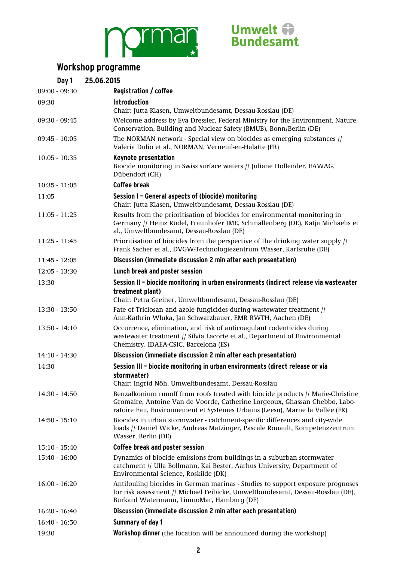



### **Workshop programme**

| Day 1           | 25.06.2015                                                                                                                                                                                                                                    |
|-----------------|-----------------------------------------------------------------------------------------------------------------------------------------------------------------------------------------------------------------------------------------------|
| $09:00 - 09:30$ | Registration / coffee                                                                                                                                                                                                                         |
| 09:30           | <b>Introduction</b>                                                                                                                                                                                                                           |
|                 | Chair: Jutta Klasen, Umweltbundesamt, Dessau-Rosslau (DE)                                                                                                                                                                                     |
| $09:30 - 09:45$ | Welcome address by Eva Dressler, Federal Ministry for the Environment, Nature<br>Conservation, Building and Nuclear Safety (BMUB), Bonn/Berlin (DE)                                                                                           |
| $09:45 - 10:05$ | The NORMAN network - Special view on biocides as emerging substances //<br>Valeria Dulio et al., NORMAN, Verneuil-en-Halatte (FR)                                                                                                             |
| $10:05 - 10:35$ | <b>Keynote presentation</b><br>Biocide monitoring in Swiss surface waters // Juliane Hollender, EAWAG,<br>Dübendorf (CH)                                                                                                                      |
| $10:35 - 11:05$ | <b>Coffee break</b>                                                                                                                                                                                                                           |
| 11:05           | Session I - General aspects of (biocide) monitoring<br>Chair: Jutta Klasen, Umweltbundesamt, Dessau-Rosslau (DE)                                                                                                                              |
| $11:05 - 11:25$ | Results from the prioritisation of biocides for environmental monitoring in<br>Germany // Heinz Rüdel, Fraunhofer IME, Schmallenberg (DE), Katja Michaelis et<br>al., Umweltbundesamt, Dessau-Rosslau (DE)                                    |
| $11:25 - 11:45$ | Prioritisation of biocides from the perspective of the drinking water supply //<br>Frank Sacher et al., DVGW-Technologiezentrum Wasser, Karlsruhe (DE)                                                                                        |
| $11:45 - 12:05$ | Discussion (immediate discussion 2 min after each presentation)                                                                                                                                                                               |
| $12:05 - 13:30$ | Lunch break and poster session                                                                                                                                                                                                                |
| 13:30           | Session II - biocide monitoring in urban environments (indirect release via wastewater                                                                                                                                                        |
|                 | treatment plant)                                                                                                                                                                                                                              |
|                 | Chair: Petra Greiner, Umweltbundesamt, Dessau-Rosslau (DE)                                                                                                                                                                                    |
| $13:30 - 13:50$ | Fate of Triclosan and azole fungicides during wastewater treatment //<br>Ann-Kathrin Wluka, Jan Schwarzbauer, EMR RWTH, Aachen (DE)                                                                                                           |
| $13:50 - 14:10$ | Occurrence, elimination, and risk of anticoagulant rodenticides during<br>wastewater treatment // Silvia Lacorte et al., Department of Environmental<br>Chemistry, IDAEA-CSIC, Barcelona (ES)                                                 |
| $14:10 - 14:30$ | Discussion (immediate discussion 2 min after each presentation)                                                                                                                                                                               |
| 14:30           | Session III - biocide monitoring in urban environments (direct release or via                                                                                                                                                                 |
|                 | stormwater)<br>Chair: Ingrid Nöh, Umweltbundesamt, Dessau-Rosslau                                                                                                                                                                             |
| $14:30 - 14:50$ | Benzalkonium runoff from roofs treated with biocide products // Marie-Christine<br>Gromaire, Antoine Van de Voorde, Catherine Lorgeoux, Ghassan Chebbo, Labo-<br>ratoire Eau, Environnement et Systèmes Urbains (Leesu), Marne la Vallée (FR) |
| $14:50 - 15:10$ | Biocides in urban stormwater - catchment-specific differences and city-wide<br>loads // Daniel Wicke, Andreas Matzinger, Pascale Rouault, Kompetenzzentrum<br>Wasser, Berlin (DE)                                                             |
| $15:10 - 15:40$ | Coffee break and poster session                                                                                                                                                                                                               |
| $15:40 - 16:00$ | Dynamics of biocide emissions from buildings in a suburban stormwater<br>catchment // Ulla Bollmann, Kai Bester, Aarhus University, Department of<br>Environmental Science, Roskilde (DK)                                                     |
| $16:00 - 16:20$ | Antifouling biocides in German marinas - Studies to support exposure prognoses<br>for risk assessment // Michael Feibicke, Umweltbundesamt, Dessau-Rosslau (DE),<br>Burkard Watermann, LimnoMar, Hamburg (DE)                                 |
| $16:20 - 16:40$ | Discussion (immediate discussion 2 min after each presentation)                                                                                                                                                                               |
| $16:40 - 16:50$ | <b>Summary of day 1</b>                                                                                                                                                                                                                       |
| 19:30           | <b>Workshop dinner</b> (the location will be announced during the workshop)                                                                                                                                                                   |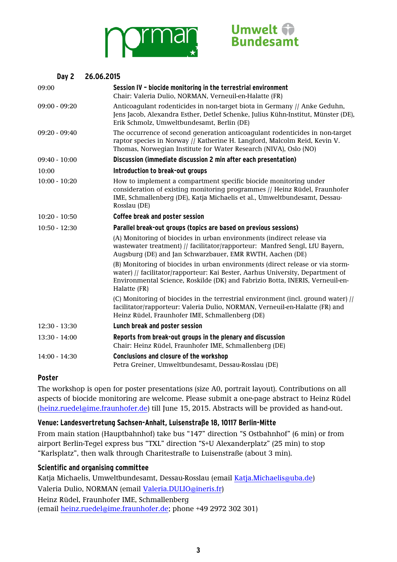



#### **Day 2 26.06.2015**

| 09:00           | Session IV - biocide monitoring in the terrestrial environment<br>Chair: Valeria Dulio, NORMAN, Verneuil-en-Halatte (FR)                                                                                                                                          |  |
|-----------------|-------------------------------------------------------------------------------------------------------------------------------------------------------------------------------------------------------------------------------------------------------------------|--|
| $09:00 - 09:20$ | Anticoagulant rodenticides in non-target biota in Germany // Anke Geduhn,<br>Jens Jacob, Alexandra Esther, Detlef Schenke, Julius Kühn-Institut, Münster (DE),<br>Erik Schmolz, Umweltbundesamt, Berlin (DE)                                                      |  |
| $09:20 - 09:40$ | The occurrence of second generation anticoagulant rodenticides in non-target<br>raptor species in Norway // Katherine H. Langford, Malcolm Reid, Kevin V.<br>Thomas, Norwegian Institute for Water Research (NIVA), Oslo (NO)                                     |  |
| $09:40 - 10:00$ | Discussion (immediate discussion 2 min after each presentation)                                                                                                                                                                                                   |  |
| 10:00           | Introduction to break-out groups                                                                                                                                                                                                                                  |  |
| $10:00 - 10:20$ | How to implement a compartment specific biocide monitoring under<br>consideration of existing monitoring programmes // Heinz Rüdel, Fraunhofer<br>IME, Schmallenberg (DE), Katja Michaelis et al., Umweltbundesamt, Dessau-<br>Rosslau (DE)                       |  |
| $10:20 - 10:50$ | Coffee break and poster session                                                                                                                                                                                                                                   |  |
| $10:50 - 12:30$ | Parallel break-out groups (topics are based on previous sessions)                                                                                                                                                                                                 |  |
|                 | (A) Monitoring of biocides in urban environments (indirect release via<br>wastewater treatment) // facilitator/rapporteur: Manfred Sengl, LfU Bayern,<br>Augsburg (DE) and Jan Schwarzbauer, EMR RWTH, Aachen (DE)                                                |  |
|                 | (B) Monitoring of biocides in urban environments (direct release or via storm-<br>water) // facilitator/rapporteur: Kai Bester, Aarhus University, Department of<br>Environmental Science, Roskilde (DK) and Fabrizio Botta, INERIS, Verneuil-en-<br>Halatte (FR) |  |
|                 | (C) Monitoring of biocides in the terrestrial environment (incl. ground water) //<br>facilitator/rapporteur: Valeria Dulio, NORMAN, Verneuil-en-Halatte (FR) and<br>Heinz Rüdel, Fraunhofer IME, Schmallenberg (DE)                                               |  |
| $12:30 - 13:30$ | Lunch break and poster session                                                                                                                                                                                                                                    |  |
| $13:30 - 14:00$ | Reports from break-out groups in the plenary and discussion<br>Chair: Heinz Rüdel, Fraunhofer IME, Schmallenberg (DE)                                                                                                                                             |  |
| $14:00 - 14:30$ | <b>Conclusions and closure of the workshop</b><br>Petra Greiner, Umweltbundesamt, Dessau-Rosslau (DE)                                                                                                                                                             |  |

#### **Poster**

The workshop is open for poster presentations (size A0, portrait layout). Contributions on all aspects of biocide monitoring are welcome. Please submit a one-page abstract to Heinz Rüdel [\(heinz.ruedel@ime.fraunhofer.de\)](mailto:heinz.ruedel@ime.fraunhofer.de) till June 15, 2015. Abstracts will be provided as hand-out.

#### **Venue: Landesvertretung Sachsen-Anhalt, Luisenstraße 18, 10117 Berlin-Mitte**

From main station (Hauptbahnhof) take bus "147" direction "S Ostbahnhof" (6 min) or from airport Berlin-Tegel express bus "TXL" direction "S+U Alexanderplatz" (25 min) to stop "Karlsplatz", then walk through Charitestraße to Luisenstraße (about 3 min).

#### **Scientific and organising committee**

Katja Michaelis, Umweltbundesamt, Dessau-Rosslau (email [Katja.Michaelis@uba.de\)](mailto:Katja.Michaelis@uba.de) Valeria Dulio, NORMAN (email [Valeria.DULIO@ineris.fr\)](mailto:Valeria.DULIO@ineris.fr) Heinz Rüdel, Fraunhofer IME, Schmallenberg (email [heinz.ruedel@ime.fraunhofer.de;](mailto:heinz.ruedel@ime.fraunhofer.de) phone +49 2972 302 301)